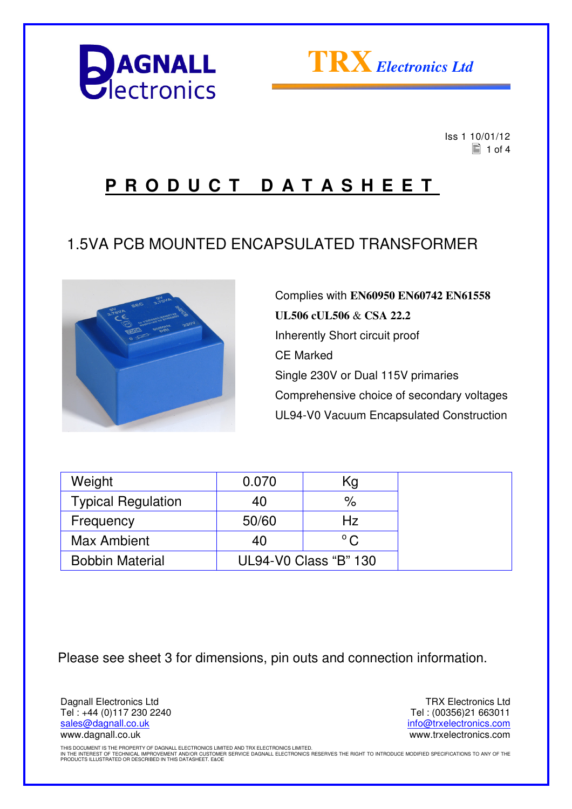



 Iss 1 10/01/12  $\Xi$  1 of 4

### **P R O D U C T D A T A S H E E T**

#### 1.5VA PCB MOUNTED ENCAPSULATED TRANSFORMER



Complies with **EN60950 EN60742 EN61558 UL506 cUL506** & **CSA 22.2** Inherently Short circuit proof CE Marked Single 230V or Dual 115V primaries Comprehensive choice of secondary voltages UL94-V0 Vacuum Encapsulated Construction

| Weight                    | 0.070                 | Kg            |  |
|---------------------------|-----------------------|---------------|--|
| <b>Typical Regulation</b> | 40                    | $\%$          |  |
| Frequency                 | 50/60                 | Hz.           |  |
| <b>Max Ambient</b>        | 40                    | $^{\circ}$ C. |  |
| <b>Bobbin Material</b>    | UL94-V0 Class "B" 130 |               |  |

Please see sheet 3 for dimensions, pin outs and connection information.

Dagnall Electronics Ltd Tel : +44 (0)117 230 2240 sales@dagnall.co.uk www.dagnall.co.uk

TRX Electronics Ltd Tel : (00356)21 663011 info@trxelectronics.com www.trxelectronics.com

THIS DOCUMENT IS THE PROPERTY OF DAGNALL ELECTRONICS LIMITED AND TRX ELECTRONICS LIMITED.<br>IN THE INTEREST OF TECHNICAL IMPROVEMENT AND/OR CUSTOMER SERVICE DAGNALL ELECTRONICS RESERVES THE RIGHT TO INTRODUCE MODIFIED SPECIF PRODUCTS ILLUSTRATED OR DESCRIBED IN THIS DATASHEET. E&OE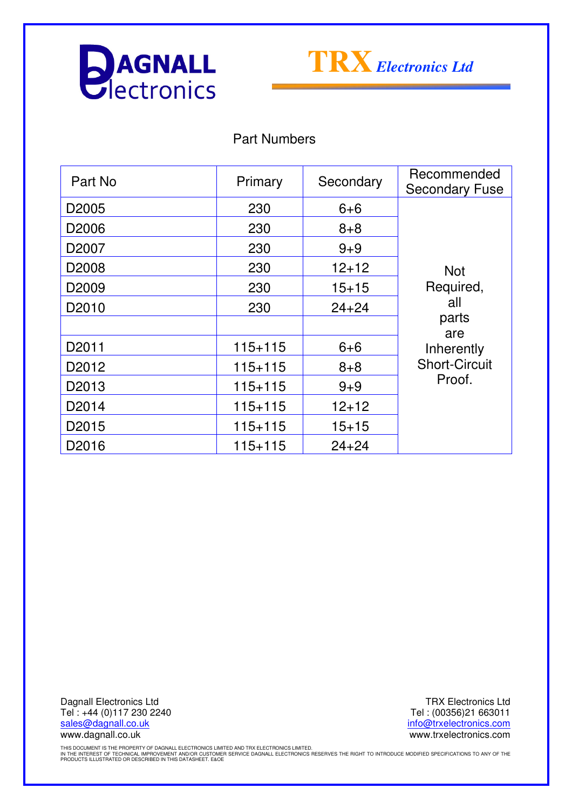



Part Numbers

| Part No           | Primary     | Secondary | Recommended<br><b>Secondary Fuse</b>                                                           |
|-------------------|-------------|-----------|------------------------------------------------------------------------------------------------|
| D <sub>2005</sub> | 230         | $6 + 6$   | <b>Not</b><br>Required,<br>all<br>parts<br>are<br>Inherently<br><b>Short-Circuit</b><br>Proof. |
| D <sub>2006</sub> | 230         | $8 + 8$   |                                                                                                |
| D <sub>2007</sub> | 230         | $9 + 9$   |                                                                                                |
| D <sub>2008</sub> | 230         | $12 + 12$ |                                                                                                |
| D <sub>2009</sub> | 230         | $15 + 15$ |                                                                                                |
| D <sub>2010</sub> | 230         | $24 + 24$ |                                                                                                |
|                   |             |           |                                                                                                |
| D <sub>2011</sub> | $115 + 115$ | $6 + 6$   |                                                                                                |
| D <sub>2012</sub> | $115 + 115$ | $8 + 8$   |                                                                                                |
| D2013             | $115 + 115$ | $9 + 9$   |                                                                                                |
| D <sub>2014</sub> | $115 + 115$ | $12+12$   |                                                                                                |
| D <sub>2015</sub> | $115 + 115$ | $15 + 15$ |                                                                                                |
| D2016             | $115 + 115$ | $24 + 24$ |                                                                                                |

Dagnall Electronics Ltd Tel : +44 (0)117 230 2240 sales@dagnall.co.uk www.dagnall.co.uk

TRX Electronics Ltd Tel : (00356)21 663011 info@trxelectronics.com www.trxelectronics.com

THIS DOCUMENT IS THE PROPERTY OF DAGNALL ELECTRONICS LIMITED AND TRX ELECTRONICS LIMITED.<br>IN THE INTEREST OF TECHNICAL IMPROVEMENT AND/OR CUSTOMER SERVICE DAGNALL ELECTRONICS RESERVES THE RIGHT TO INTRODUCE MODIFIED SPECIF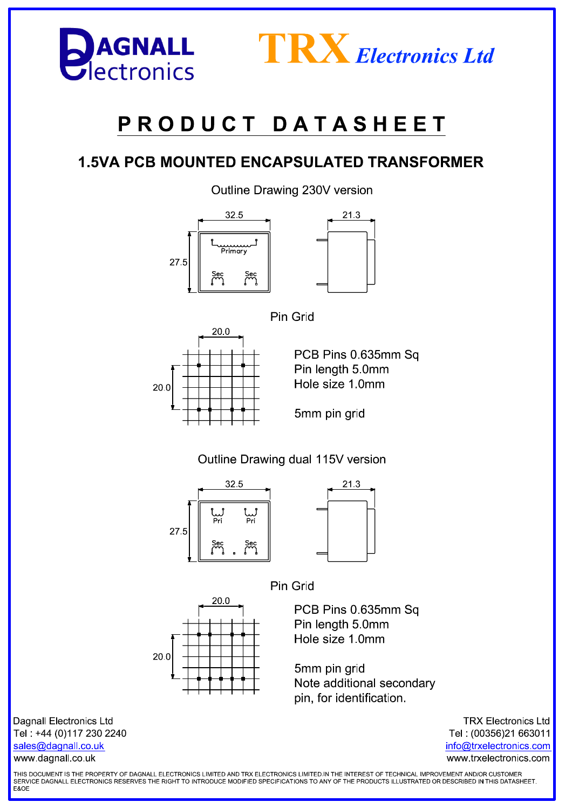



# PRODUCT DATASHEET

#### **1.5VA PCB MOUNTED ENCAPSULATED TRANSFORMER**

Outline Drawing 230V version









Outline Drawing dual 115V version







 $20<sub>0</sub>$  $20.0$ 

PCB Pins 0.635mm Sq Pin length 5 0mm Hole size 1.0mm

5mm pin grid Note additional secondary pin, for identification.

**Dagnall Electronics Ltd** Tel: +44 (0)117 230 2240 sales@dagnall.co.uk www.dagnall.co.uk

**TRX Electronics Ltd** Tel: (00356)21 663011 info@trxelectronics.com www.trxelectronics.com

THIS DOCUMENT IS THE PROPERTY OF DAGNALL ELECTRONICS LIMITED AND TRX ELECTRONICS LIMITED.IN THE INTEREST OF TECHNICAL IMPROVEMENT AND/OR CUSTOMER SERVICE DAGNALL ELECTRONICS RESERVES THE RIGHT TO INTRODUCE MODIFIED SPECIFICATIONS TO ANY OF THE PRODUCTS ILLUSTRATED OR DESCRIBED IN THIS DATASHEET. **F&OF**